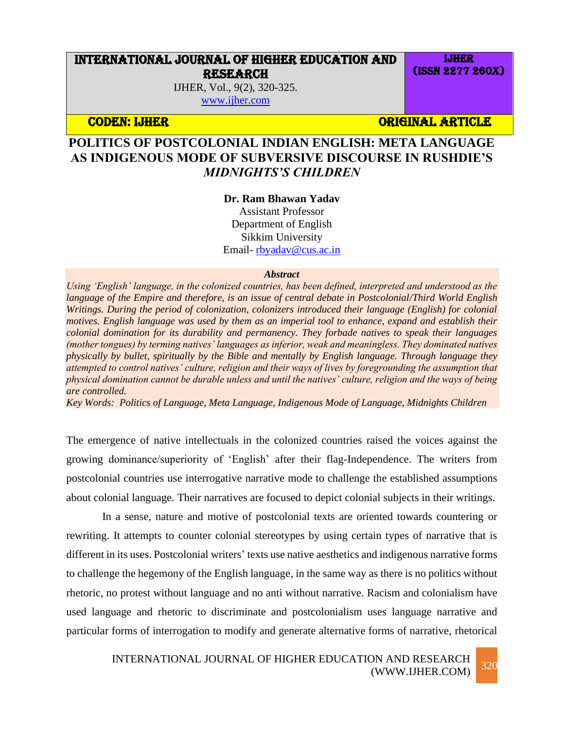# INTERNATIONAL JOURNAL OF HIGHER EDUCATION AND RESEARCH

IJHER, Vol., 9(2), 320-325. [www.ijher.com](http://www.ijher.com/)

**CODEN: IJHER ORIGINAL ARTICLE** 

IJHER (ISSN 2277 260X)

# **POLITICS OF POSTCOLONIAL INDIAN ENGLISH: META LANGUAGE AS INDIGENOUS MODE OF SUBVERSIVE DISCOURSE IN RUSHDIE'S**  *MIDNIGHTS'S CHILDREN*

### **Dr. Ram Bhawan Yadav**

Assistant Professor Department of English Sikkim University Email- [rbyadav@cus.ac.in](mailto:rbyadav@cus.ac.in)

#### *Abstract*

*Using 'English' language, in the colonized countries, has been defined, interpreted and understood as the language of the Empire and therefore, is an issue of central debate in Postcolonial/Third World English Writings. During the period of colonization, colonizers introduced their language (English) for colonial motives. English language was used by them as an imperial tool to enhance, expand and establish their colonial domination for its durability and permanency. They forbade natives to speak their languages (mother tongues) by terming natives' languages as inferior, weak and meaningless. They dominated natives physically by bullet, spiritually by the Bible and mentally by English language. Through language they attempted to control natives' culture, religion and their ways of lives by foregrounding the assumption that physical domination cannot be durable unless and until the natives' culture, religion and the ways of being are controlled.* 

*Key Words: Politics of Language, Meta Language, Indigenous Mode of Language, Midnights Children* 

The emergence of native intellectuals in the colonized countries raised the voices against the growing dominance/superiority of 'English' after their flag-Independence. The writers from postcolonial countries use interrogative narrative mode to challenge the established assumptions about colonial language. Their narratives are focused to depict colonial subjects in their writings.

In a sense, nature and motive of postcolonial texts are oriented towards countering or rewriting. It attempts to counter colonial stereotypes by using certain types of narrative that is different in its uses. Postcolonial writers' texts use native aesthetics and indigenous narrative forms to challenge the hegemony of the English language, in the same way as there is no politics without rhetoric, no protest without language and no anti without narrative. Racism and colonialism have used language and rhetoric to discriminate and postcolonialism uses language narrative and particular forms of interrogation to modify and generate alternative forms of narrative, rhetorical

## INTERNATIONAL JOURNAL OF HIGHER EDUCATION AND RESEARCH (WWW.IJHER.COM) 320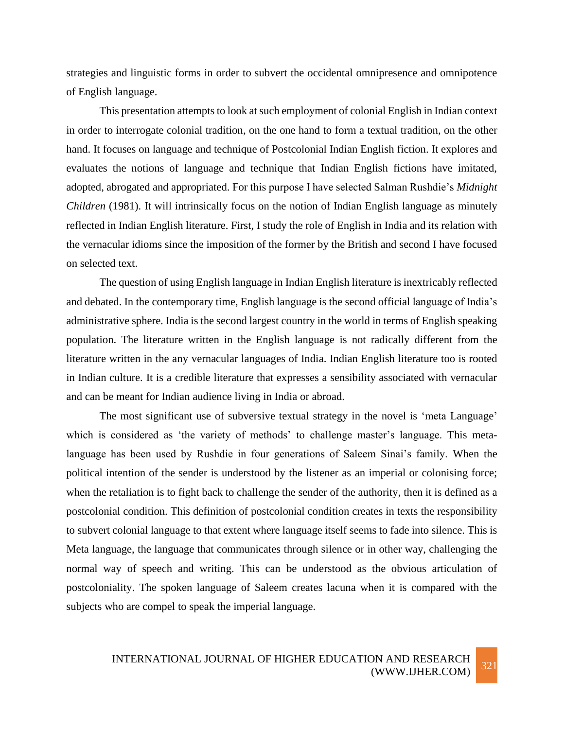strategies and linguistic forms in order to subvert the occidental omnipresence and omnipotence of English language.

This presentation attempts to look at such employment of colonial English in Indian context in order to interrogate colonial tradition, on the one hand to form a textual tradition, on the other hand. It focuses on language and technique of Postcolonial Indian English fiction. It explores and evaluates the notions of language and technique that Indian English fictions have imitated, adopted, abrogated and appropriated. For this purpose I have selected Salman Rushdie's *Midnight Children* (1981). It will intrinsically focus on the notion of Indian English language as minutely reflected in Indian English literature. First, I study the role of English in India and its relation with the vernacular idioms since the imposition of the former by the British and second I have focused on selected text.

The question of using English language in Indian English literature is inextricably reflected and debated. In the contemporary time, English language is the second official language of India's administrative sphere. India is the second largest country in the world in terms of English speaking population. The literature written in the English language is not radically different from the literature written in the any vernacular languages of India. Indian English literature too is rooted in Indian culture. It is a credible literature that expresses a sensibility associated with vernacular and can be meant for Indian audience living in India or abroad.

The most significant use of subversive textual strategy in the novel is 'meta Language' which is considered as 'the variety of methods' to challenge master's language. This metalanguage has been used by Rushdie in four generations of Saleem Sinai's family. When the political intention of the sender is understood by the listener as an imperial or colonising force; when the retaliation is to fight back to challenge the sender of the authority, then it is defined as a postcolonial condition. This definition of postcolonial condition creates in texts the responsibility to subvert colonial language to that extent where language itself seems to fade into silence. This is Meta language, the language that communicates through silence or in other way, challenging the normal way of speech and writing. This can be understood as the obvious articulation of postcoloniality. The spoken language of Saleem creates lacuna when it is compared with the subjects who are compel to speak the imperial language.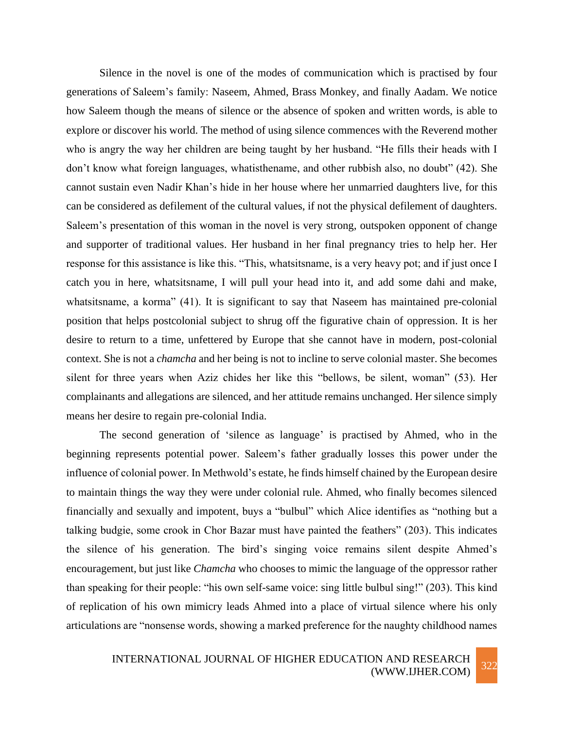Silence in the novel is one of the modes of communication which is practised by four generations of Saleem's family: Naseem, Ahmed, Brass Monkey, and finally Aadam. We notice how Saleem though the means of silence or the absence of spoken and written words, is able to explore or discover his world. The method of using silence commences with the Reverend mother who is angry the way her children are being taught by her husband. "He fills their heads with I don't know what foreign languages, whatisthename, and other rubbish also, no doubt" (42). She cannot sustain even Nadir Khan's hide in her house where her unmarried daughters live, for this can be considered as defilement of the cultural values, if not the physical defilement of daughters. Saleem's presentation of this woman in the novel is very strong, outspoken opponent of change and supporter of traditional values. Her husband in her final pregnancy tries to help her. Her response for this assistance is like this. "This, whatsitsname, is a very heavy pot; and if just once I catch you in here, whatsitsname, I will pull your head into it, and add some dahi and make, whatsitsname, a korma" (41). It is significant to say that Naseem has maintained pre-colonial position that helps postcolonial subject to shrug off the figurative chain of oppression. It is her desire to return to a time, unfettered by Europe that she cannot have in modern, post-colonial context. She is not a *chamcha* and her being is not to incline to serve colonial master. She becomes silent for three years when Aziz chides her like this "bellows, be silent, woman" (53). Her complainants and allegations are silenced, and her attitude remains unchanged. Her silence simply means her desire to regain pre-colonial India.

The second generation of 'silence as language' is practised by Ahmed, who in the beginning represents potential power. Saleem's father gradually losses this power under the influence of colonial power. In Methwold's estate, he finds himself chained by the European desire to maintain things the way they were under colonial rule. Ahmed, who finally becomes silenced financially and sexually and impotent, buys a "bulbul" which Alice identifies as "nothing but a talking budgie, some crook in Chor Bazar must have painted the feathers" (203). This indicates the silence of his generation. The bird's singing voice remains silent despite Ahmed's encouragement, but just like *Chamcha* who chooses to mimic the language of the oppressor rather than speaking for their people: "his own self-same voice: sing little bulbul sing!" (203). This kind of replication of his own mimicry leads Ahmed into a place of virtual silence where his only articulations are "nonsense words, showing a marked preference for the naughty childhood names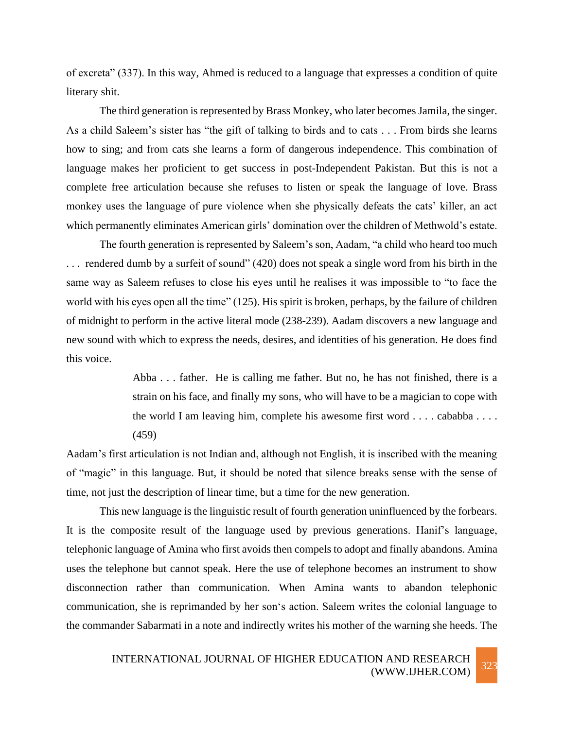of excreta" (337). In this way, Ahmed is reduced to a language that expresses a condition of quite literary shit.

The third generation is represented by Brass Monkey, who later becomes Jamila, the singer. As a child Saleem's sister has "the gift of talking to birds and to cats . . . From birds she learns how to sing; and from cats she learns a form of dangerous independence. This combination of language makes her proficient to get success in post-Independent Pakistan. But this is not a complete free articulation because she refuses to listen or speak the language of love. Brass monkey uses the language of pure violence when she physically defeats the cats' killer, an act which permanently eliminates American girls' domination over the children of Methwold's estate.

The fourth generation is represented by Saleem's son, Aadam, "a child who heard too much ... rendered dumb by a surfeit of sound" (420) does not speak a single word from his birth in the same way as Saleem refuses to close his eyes until he realises it was impossible to "to face the world with his eyes open all the time" (125). His spirit is broken, perhaps, by the failure of children of midnight to perform in the active literal mode (238-239). Aadam discovers a new language and new sound with which to express the needs, desires, and identities of his generation. He does find this voice.

> Abba . . . father. He is calling me father. But no, he has not finished, there is a strain on his face, and finally my sons, who will have to be a magician to cope with the world I am leaving him, complete his awesome first word . . . . cababba . . . . (459)

Aadam's first articulation is not Indian and, although not English, it is inscribed with the meaning of "magic" in this language. But, it should be noted that silence breaks sense with the sense of time, not just the description of linear time, but a time for the new generation.

This new language is the linguistic result of fourth generation uninfluenced by the forbears. It is the composite result of the language used by previous generations. Hanif's language, telephonic language of Amina who first avoids then compels to adopt and finally abandons. Amina uses the telephone but cannot speak. Here the use of telephone becomes an instrument to show disconnection rather than communication. When Amina wants to abandon telephonic communication, she is reprimanded by her son's action. Saleem writes the colonial language to the commander Sabarmati in a note and indirectly writes his mother of the warning she heeds. The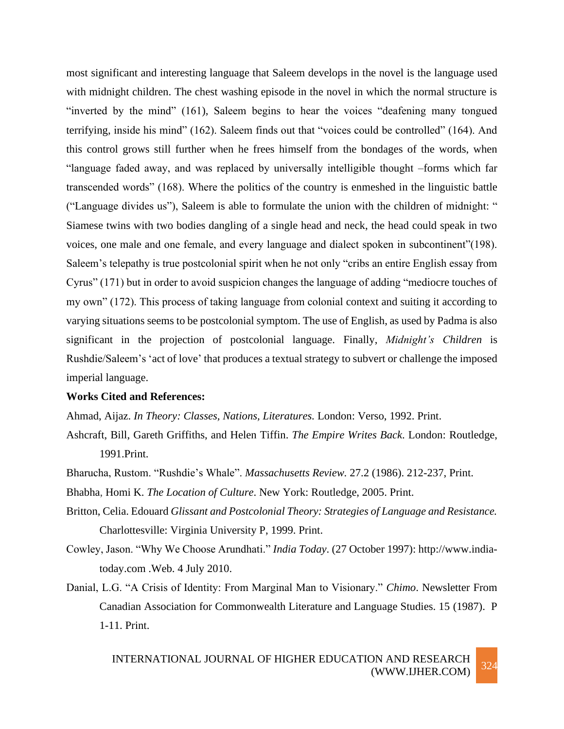most significant and interesting language that Saleem develops in the novel is the language used with midnight children. The chest washing episode in the novel in which the normal structure is "inverted by the mind" (161), Saleem begins to hear the voices "deafening many tongued terrifying, inside his mind" (162). Saleem finds out that "voices could be controlled" (164). And this control grows still further when he frees himself from the bondages of the words, when "language faded away, and was replaced by universally intelligible thought –forms which far transcended words" (168). Where the politics of the country is enmeshed in the linguistic battle ("Language divides us"), Saleem is able to formulate the union with the children of midnight: " Siamese twins with two bodies dangling of a single head and neck, the head could speak in two voices, one male and one female, and every language and dialect spoken in subcontinent"(198). Saleem's telepathy is true postcolonial spirit when he not only "cribs an entire English essay from Cyrus" (171) but in order to avoid suspicion changes the language of adding "mediocre touches of my own" (172). This process of taking language from colonial context and suiting it according to varying situations seems to be postcolonial symptom. The use of English, as used by Padma is also significant in the projection of postcolonial language. Finally, *Midnight's Children* is Rushdie/Saleem's 'act of love' that produces a textual strategy to subvert or challenge the imposed imperial language.

## **Works Cited and References:**

Ahmad, Aijaz. *In Theory: Classes, Nations, Literatures.* London: Verso, 1992. Print.

- Ashcraft, Bill, Gareth Griffiths, and Helen Tiffin. *The Empire Writes Back*. London: Routledge, 1991.Print.
- Bharucha, Rustom. "Rushdie's Whale". *Massachusetts Review.* 27.2 (1986). 212-237, Print.

Bhabha, Homi K. *The Location of Culture*. New York: Routledge, 2005. Print.

- Britton, Celia. Edouard *Glissant and Postcolonial Theory: Strategies of Language and Resistance.*  Charlottesville: Virginia University P, 1999. Print.
- Cowley, Jason. "Why We Choose Arundhati." *India Today*. (27 October 1997): [http://www.india](http://www.india-today.com/)[today.com](http://www.india-today.com/) .Web. 4 July 2010.
- Danial, L.G. "A Crisis of Identity: From Marginal Man to Visionary." *Chimo*. Newsletter From Canadian Association for Commonwealth Literature and Language Studies. 15 (1987). P 1-11. Print.